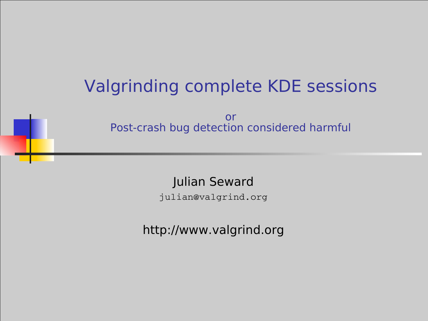# Valgrinding complete KDE sessions

or Post-crash bug detection considered harmful

Julian Seward

julian@valgrind.org

http://www.valgrind.org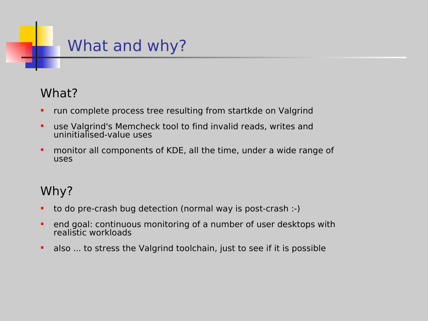

### What?

- **•** run complete process tree resulting from startkde on Valgrind
- use Valgrind's Memcheck tool to find invalid reads, writes and uninitialised-value uses
- **•** monitor all components of KDE, all the time, under a wide range of uses

### Why?

- to do pre-crash bug detection (normal way is post-crash :-)
- **EXT** end goal: continuous monitoring of a number of user desktops with realistic workloads
- also ... to stress the Valgrind toolchain, just to see if it is possible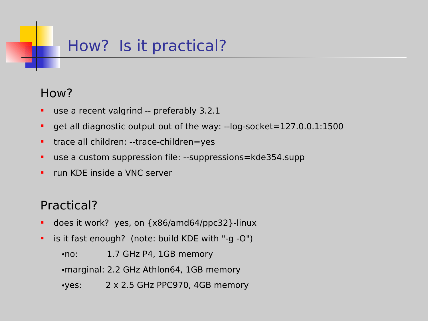## How? Is it practical?

### How?

- **use a recent valgrind -- preferably 3.2.1**
- get all diagnostic output out of the way: --log-socket=127.0.0.1:1500
- **trace all children: --trace-children=yes**
- use a custom suppression file: --suppressions=kde354.supp
- **F** run KDE inside a VNC server

### Practical?

- does it work? yes, on {x86/amd64/ppc32}-linux
- **E** is it fast enough? (note: build KDE with "-g -O")

•no: 1.7 GHz P4, 1GB memory

•marginal: 2.2 GHz Athlon64, 1GB memory

•yes: 2 x 2.5 GHz PPC970, 4GB memory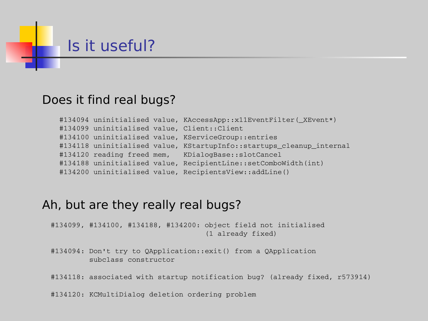# Is it useful?

#### Does it find real bugs?

#134094 uninitialised value, KAccessApp::x11EventFilter(\_XEvent\*) #134099 uninitialised value, Client::Client #134100 uninitialised value, KServiceGroup::entries #134118 uninitialised value, KStartupInfo::startups cleanup internal #134120 reading freed mem, KDialogBase::slotCancel #134188 uninitialised value, RecipientLine::setComboWidth(int) #134200 uninitialised value, RecipientsView::addLine()

#### Ah, but are they really real bugs?

#134099, #134100, #134188, #134200: object field not initialised (1 already fixed)

#134094: Don't try to QApplication::exit() from a QApplication subclass constructor

#134118: associated with startup notification bug? (already fixed, r573914)

#134120: KCMultiDialog deletion ordering problem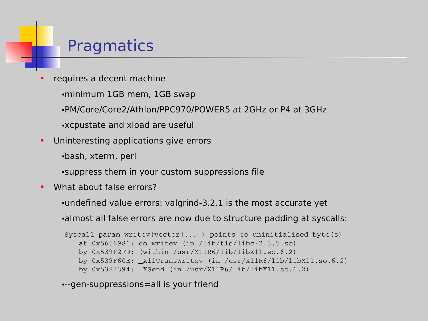### **Pragmatics**

- requires a decent machine
	- •minimum 1GB mem, 1GB swap
	- •PM/Core/Core2/Athlon/PPC970/POWER5 at 2GHz or P4 at 3GHz
	- •xcpustate and xload are useful
- **Uninteresting applications give errors** 
	- •bash, xterm, perl
	- •suppress them in your custom suppressions file
- What about false errors?
	- •undefined value errors: valgrind-3.2.1 is the most accurate yet

•almost all false errors are now due to structure padding at syscalls:

```
Syscall param writev(vector[...]) points to uninitialised byte(s)
   at 0x5656986: do_writev (in /lib/tls/libc-2.3.5.so)
   by 0x539F2FD: (within /usr/X11R6/lib/libX11.so.6.2)
   by 0x539F60E: _X11TransWritev (in /usr/X11R6/lib/libX11.so.6.2)
   by 0x5383394: XSend (in /usr/X11R6/lib/libX11.so.6.2)
```

```
•--gen-suppressions=all is your friend
```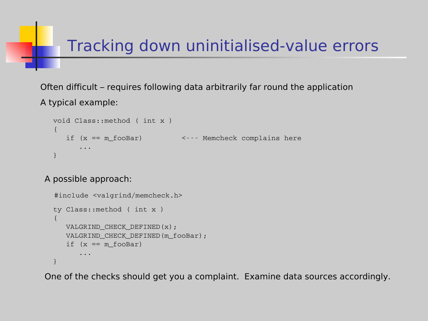## Tracking down uninitialised-value errors

Often difficult – requires following data arbitrarily far round the application A typical example:

```
void Class::method ( int x )
{
   if (x == m_fooBar) \leq -1 Memcheck complains here
      ...
}
```
A possible approach:

```
 #include <valgrind/memcheck.h>
ty Class::method ( int x )
{
  VALGRIND_CHECK_DEFINED(x);
  VALGRIND CHECK DEFINED (m fooBar) ;
   if (x == m_fooBar)...
}
```
One of the checks should get you a complaint. Examine data sources accordingly.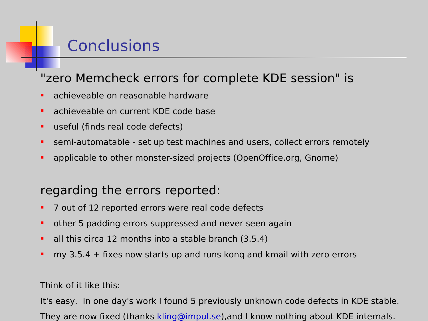## **Conclusions**

### "zero Memcheck errors for complete KDE session" is

- **achieveable on reasonable hardware**
- **achieveable on current KDE code base**
- **useful (finds real code defects)**
- semi-automatable set up test machines and users, collect errors remotely
- applicable to other monster-sized projects (OpenOffice.org, Gnome)

### regarding the errors reported:

- 7 out of 12 reported errors were real code defects
- other 5 padding errors suppressed and never seen again
- all this circa 12 months into a stable branch (3.5.4)
- my 3.5.4 + fixes now starts up and runs kong and kmail with zero errors

#### Think of it like this:

It's easy. In one day's work I found 5 previously unknown code defects in KDE stable. They are now fixed (thanks [kling@impul.se\)](mailto:kling@impul.se),and I know nothing about KDE internals.